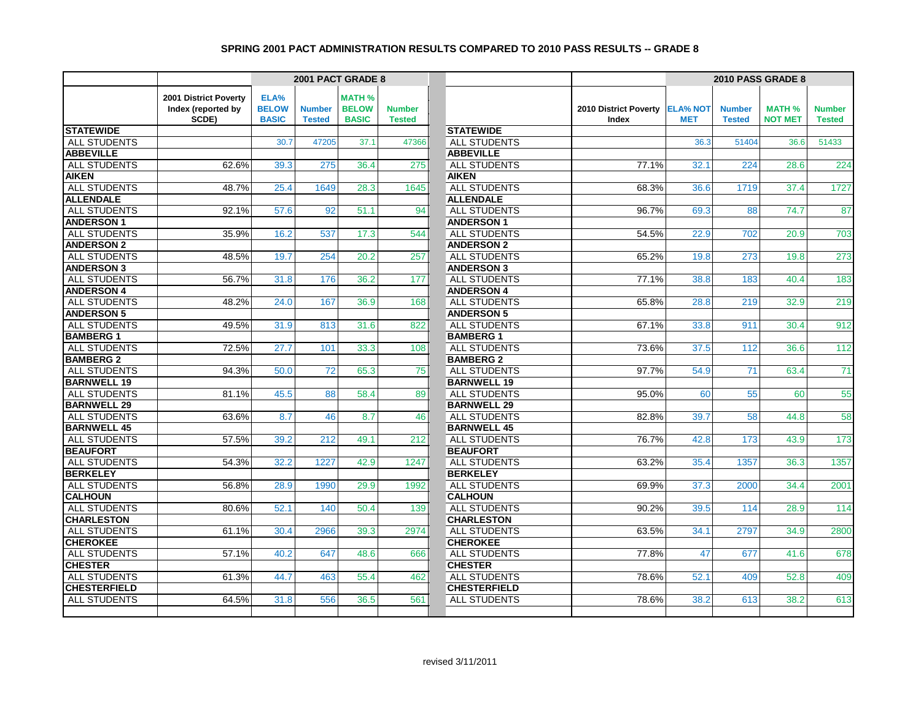|                     |                       |              |               | 2001 PACT GRADE 8 |               |                     | 2010 PASS GRADE 8     |                 |               |                |               |
|---------------------|-----------------------|--------------|---------------|-------------------|---------------|---------------------|-----------------------|-----------------|---------------|----------------|---------------|
|                     | 2001 District Poverty | ELA%         |               | <b>MATH %</b>     |               |                     |                       |                 |               |                |               |
|                     | Index (reported by    | <b>BELOW</b> | <b>Number</b> | <b>BELOW</b>      | <b>Number</b> |                     | 2010 District Poverty | <b>ELA% NOT</b> | <b>Number</b> | <b>MATH %</b>  | <b>Number</b> |
|                     | SCDE)                 | <b>BASIC</b> | <b>Tested</b> | <b>BASIC</b>      | <b>Tested</b> |                     | Index                 | <b>MET</b>      | <b>Tested</b> | <b>NOT MET</b> | <b>Tested</b> |
| <b>STATEWIDE</b>    |                       |              |               |                   |               | <b>STATEWIDE</b>    |                       |                 |               |                |               |
| <b>ALL STUDENTS</b> |                       | 30.7         | 47205         | 37.1              | 47366         | ALL STUDENTS        |                       | 36.3            | 51404         | 36.6           | 51433         |
| <b>ABBEVILLE</b>    |                       |              |               |                   |               | <b>ABBEVILLE</b>    |                       |                 |               |                |               |
| ALL STUDENTS        | 62.6%                 | 39.3         | 275           | 36.4              | 275           | ALL STUDENTS        | 77.1%                 | 32.1            | 224           | 28.6           | 224           |
| <b>AIKEN</b>        |                       |              |               |                   |               | <b>AIKEN</b>        |                       |                 |               |                |               |
| ALL STUDENTS        | 48.7%                 | 25.4         | 1649          | 28.3              | 1645          | ALL STUDENTS        | 68.3%                 | 36.6            | 1719          | 37.4           | 1727          |
| <b>ALLENDALE</b>    |                       |              |               |                   |               | <b>ALLENDALE</b>    |                       |                 |               |                |               |
| ALL STUDENTS        | 92.1%                 | 57.6         | 92            | 51.1              | 94            | ALL STUDENTS        | 96.7%                 | 69.3            | 88            | 74.7           | 87            |
| <b>ANDERSON1</b>    |                       |              |               |                   |               | <b>ANDERSON1</b>    |                       |                 |               |                |               |
| <b>ALL STUDENTS</b> | 35.9%                 | 16.2         | 537           | 17.3              | 544           | <b>ALL STUDENTS</b> | 54.5%                 | 22.9            | 702           | 20.9           | 703           |
| <b>ANDERSON 2</b>   |                       |              |               |                   |               | <b>ANDERSON 2</b>   |                       |                 |               |                |               |
| <b>ALL STUDENTS</b> | 48.5%                 | 19.7         | 254           | 20.2              | 257           | ALL STUDENTS        | 65.2%                 | 19.8            | 273           | 19.8           | 273           |
| <b>ANDERSON 3</b>   |                       |              |               |                   |               | <b>ANDERSON 3</b>   |                       |                 |               |                |               |
| ALL STUDENTS        | 56.7%                 | 31.8         | 176           | 36.2              | 177           | <b>ALL STUDENTS</b> | 77.1%                 | 38.8            | 183           | 40.4           | 183           |
| <b>ANDERSON 4</b>   |                       |              |               |                   |               | <b>ANDERSON 4</b>   |                       |                 |               |                |               |
| <b>ALL STUDENTS</b> | 48.2%                 | 24.0         | 167           | 36.9              | 168           | <b>ALL STUDENTS</b> | 65.8%                 | 28.8            | 219           | 32.9           | 219           |
| <b>ANDERSON 5</b>   |                       |              |               |                   |               | <b>ANDERSON 5</b>   |                       |                 |               |                |               |
| <b>ALL STUDENTS</b> | 49.5%                 | 31.9         | 813           | 31.6              | 822           | <b>ALL STUDENTS</b> | 67.1%                 | 33.8            | 911           | 30.4           | 912           |
| <b>BAMBERG1</b>     |                       |              |               |                   |               | <b>BAMBERG1</b>     |                       |                 |               |                |               |
| ALL STUDENTS        | 72.5%                 | 27.7         | 101           | 33.3              | 108           | ALL STUDENTS        | 73.6%                 | 37.5            | 112           | 36.6           | 112           |
| <b>BAMBERG 2</b>    |                       |              |               |                   |               | <b>BAMBERG 2</b>    |                       |                 |               |                |               |
| <b>ALL STUDENTS</b> | 94.3%                 | 50.0         | 72            | 65.3              | 75            | <b>ALL STUDENTS</b> | 97.7%                 | 54.9            | 71            | 63.4           | 71            |
| <b>BARNWELL 19</b>  |                       |              |               |                   |               | <b>BARNWELL 19</b>  |                       |                 |               |                |               |
| ALL STUDENTS        | 81.1%                 | 45.5         | 88            | 58.4              | 89            | <b>ALL STUDENTS</b> | 95.0%                 | 60              | 55            | 60             | 55            |
| <b>BARNWELL 29</b>  |                       |              |               |                   |               | <b>BARNWELL 29</b>  |                       |                 |               |                |               |
| ALL STUDENTS        | 63.6%                 | 8.7          | 46            | 8.7               | 46            | ALL STUDENTS        | 82.8%                 | 39.7            | 58            | 44.8           | 58            |
| <b>BARNWELL 45</b>  |                       |              |               |                   |               | <b>BARNWELL 45</b>  |                       |                 |               |                |               |
| <b>ALL STUDENTS</b> | 57.5%                 | 39.2         | 212           | 49.1              | 212           | ALL STUDENTS        | 76.7%                 | 42.8            | 173           | 43.9           | 173           |
| <b>BEAUFORT</b>     |                       |              |               |                   |               | <b>BEAUFORT</b>     |                       |                 |               |                |               |
| <b>ALL STUDENTS</b> | 54.3%                 | 32.2         | 1227          | 42.9              | 1247          | <b>ALL STUDENTS</b> | 63.2%                 | 35.4            | 1357          | 36.3           | 1357          |
| <b>BERKELEY</b>     |                       |              |               |                   |               | <b>BERKELEY</b>     |                       |                 |               |                |               |
| <b>ALL STUDENTS</b> | 56.8%                 | 28.9         | 1990          | 29.9              | 1992          | ALL STUDENTS        | 69.9%                 | 37.3            | 2000          | 34.4           | 2001          |
| <b>CALHOUN</b>      |                       |              |               |                   |               | <b>CALHOUN</b>      |                       |                 |               |                |               |
| <b>ALL STUDENTS</b> | 80.6%                 | 52.1         | 140           | 50.4              | 139           | <b>ALL STUDENTS</b> | 90.2%                 | 39.5            | 114           | 28.9           | 114           |
| <b>CHARLESTON</b>   |                       |              |               |                   |               | <b>CHARLESTON</b>   |                       |                 |               |                |               |
| ALL STUDENTS        | 61.1%                 | 30.4         | 2966          | 39.3              | 2974          | ALL STUDENTS        | 63.5%                 | 34.1            | 2797          | 34.9           | 2800          |
| <b>CHEROKEE</b>     |                       |              |               |                   |               | <b>CHEROKEE</b>     |                       |                 |               |                |               |
| ALL STUDENTS        | 57.1%                 | 40.2         | 647           | 48.6              | 666           | ALL STUDENTS        | 77.8%                 | 47              | 677           | 41.6           | 678           |
| <b>CHESTER</b>      |                       |              |               |                   |               | <b>CHESTER</b>      |                       |                 |               |                |               |
| <b>ALL STUDENTS</b> | 61.3%                 | 44.7         | 463           | 55.4              | 462           | ALL STUDENTS        | 78.6%                 | 52.1            | 409           | 52.8           | 409           |
| <b>CHESTERFIELD</b> |                       |              |               |                   |               | <b>CHESTERFIELD</b> |                       |                 |               |                |               |
| <b>ALL STUDENTS</b> | 64.5%                 | 31.8         | 556           | 36.5              | 561           | <b>ALL STUDENTS</b> | 78.6%                 | 38.2            | 613           | 38.2           | 613           |
|                     |                       |              |               |                   |               |                     |                       |                 |               |                |               |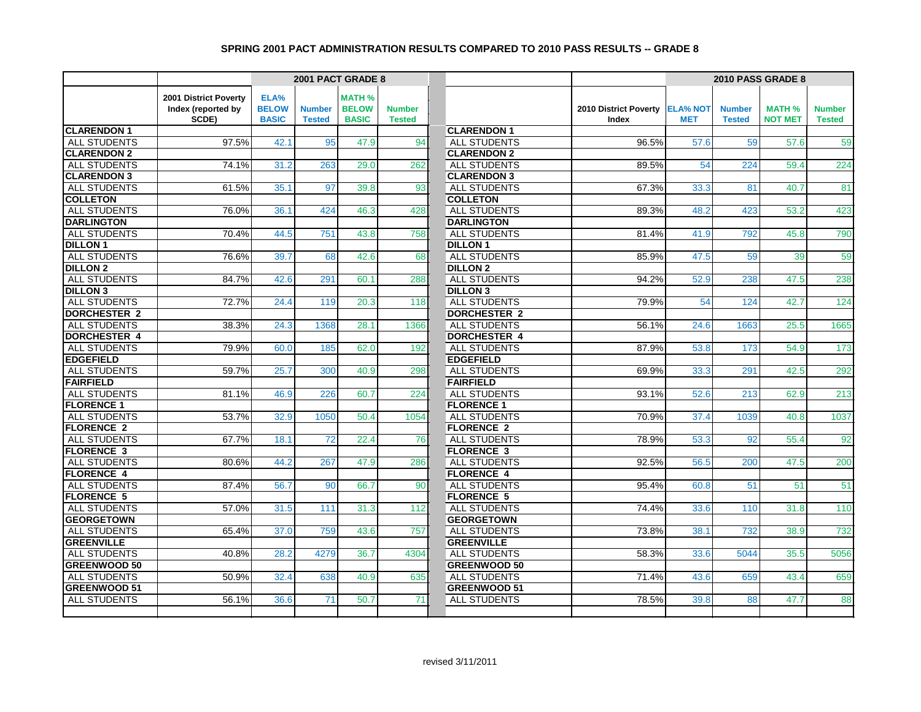|                     |                       |              |               | 2001 PACT GRADE 8 |               |                     | 2010 PASS GRADE 8              |            |               |                |                  |
|---------------------|-----------------------|--------------|---------------|-------------------|---------------|---------------------|--------------------------------|------------|---------------|----------------|------------------|
|                     | 2001 District Poverty | ELA%         |               | <b>MATH %</b>     |               |                     |                                |            |               |                |                  |
|                     | Index (reported by    | <b>BELOW</b> | <b>Number</b> | <b>BELOW</b>      | <b>Number</b> |                     | 2010 District Poverty ELA% NOT |            | <b>Number</b> | <b>MATH %</b>  | <b>Number</b>    |
|                     | SCDE)                 | <b>BASIC</b> | <b>Tested</b> | <b>BASIC</b>      | <b>Tested</b> |                     | Index                          | <b>MET</b> | <b>Tested</b> | <b>NOT MET</b> | <b>Tested</b>    |
| <b>CLARENDON 1</b>  |                       |              |               |                   |               | <b>CLARENDON 1</b>  |                                |            |               |                |                  |
| <b>ALL STUDENTS</b> | 97.5%                 | 42.1         | 95            | 47.9              | 94            | <b>ALL STUDENTS</b> | 96.5%                          | 57.6       | 59            | 57.6           | 59               |
| <b>CLARENDON 2</b>  |                       |              |               |                   |               | <b>CLARENDON 2</b>  |                                |            |               |                |                  |
| ALL STUDENTS        | 74.1%                 | 31.2         | 263           | 29.0              | 262           | <b>ALL STUDENTS</b> | 89.5%                          | 54         | 224           | 59.4           | 224              |
| <b>CLARENDON 3</b>  |                       |              |               |                   |               | <b>CLARENDON 3</b>  |                                |            |               |                |                  |
| ALL STUDENTS        | 61.5%                 | 35.1         | 97            | 39.8              | 93            | ALL STUDENTS        | 67.3%                          | 33.3       | 81            | 40.7           | 81               |
| <b>COLLETON</b>     |                       |              |               |                   |               | <b>COLLETON</b>     |                                |            |               |                |                  |
| ALL STUDENTS        | 76.0%                 | 36.1         | 424           | 46.3              | 428           | ALL STUDENTS        | 89.3%                          | 48.2       | 423           | 53.2           | 423              |
| <b>DARLINGTON</b>   |                       |              |               |                   |               | <b>DARLINGTON</b>   |                                |            |               |                |                  |
| <b>ALL STUDENTS</b> | 70.4%                 | 44.5         | 751           | 43.8              | 758           | <b>ALL STUDENTS</b> | 81.4%                          | 41.9       | 792           | 45.8           | 790              |
| <b>DILLON 1</b>     |                       |              |               |                   |               | <b>DILLON1</b>      |                                |            |               |                |                  |
| <b>ALL STUDENTS</b> | 76.6%                 | 39.7         | 68            | 42.6              | 68            | ALL STUDENTS        | 85.9%                          | 47.5       | 59            | 39             | 59               |
| <b>DILLON 2</b>     |                       |              |               |                   |               | <b>DILLON 2</b>     |                                |            |               |                |                  |
| <b>ALL STUDENTS</b> | 84.7%                 | 42.6         | 291           | 60.1              | 288           | <b>ALL STUDENTS</b> | 94.2%                          | 52.9       | 238           | 47.5           | 238              |
| <b>DILLON 3</b>     |                       |              |               |                   |               | <b>DILLON 3</b>     |                                |            |               |                |                  |
| <b>ALL STUDENTS</b> | 72.7%                 | 24.4         | 119           | 20.3              | 118           | ALL STUDENTS        | 79.9%                          | 54         | 124           | 42.7           | $\overline{124}$ |
| <b>DORCHESTER 2</b> |                       |              |               |                   |               | <b>DORCHESTER 2</b> |                                |            |               |                |                  |
| <b>ALL STUDENTS</b> | 38.3%                 | 24.3         | 1368          | 28.1              | 1366          | <b>ALL STUDENTS</b> | 56.1%                          | 24.6       | 1663          | 25.5           | 1665             |
| <b>DORCHESTER 4</b> |                       |              |               |                   |               | <b>DORCHESTER 4</b> |                                |            |               |                |                  |
| ALL STUDENTS        | 79.9%                 | 60.0         | 185           | 62.0              | 192           | ALL STUDENTS        | 87.9%                          | 53.8       | 173           | 54.9           | 173              |
| <b>EDGEFIELD</b>    |                       |              |               |                   |               | <b>EDGEFIELD</b>    |                                |            |               |                |                  |
| <b>ALL STUDENTS</b> | 59.7%                 | 25.7         | 300           | 40.9              | 298           | <b>ALL STUDENTS</b> | 69.9%                          | 33.3       | 291           | 42.5           | 292              |
| <b>FAIRFIELD</b>    |                       |              |               |                   |               | <b>FAIRFIELD</b>    |                                |            |               |                |                  |
| ALL STUDENTS        | 81.1%                 | 46.9         | 226           | 60.7              | 224           | ALL STUDENTS        | 93.1%                          | 52.6       | 213           | 62.9           | 213              |
| <b>FLORENCE 1</b>   |                       |              |               |                   |               | <b>FLORENCE 1</b>   |                                |            |               |                |                  |
| ALL STUDENTS        | 53.7%                 | 32.9         | 1050          | 50.4              | 1054          | ALL STUDENTS        | 70.9%                          | 37.4       | 1039          | 40.8           | 1037             |
| <b>FLORENCE 2</b>   |                       |              |               |                   |               | <b>FLORENCE 2</b>   |                                |            |               |                |                  |
| <b>ALL STUDENTS</b> | 67.7%                 | 18.1         | 72            | 22.4              | 76            | ALL STUDENTS        | 78.9%                          | 53.3       | 92            | 55.4           | 92               |
| <b>FLORENCE 3</b>   |                       |              |               |                   |               | <b>FLORENCE 3</b>   |                                |            |               |                |                  |
| <b>ALL STUDENTS</b> | 80.6%                 | 44.2         | 267           | 47.9              | 286           | ALL STUDENTS        | 92.5%                          | 56.5       | 200           | 47.5           | 200              |
| <b>FLORENCE 4</b>   |                       |              |               |                   |               | <b>FLORENCE 4</b>   |                                |            |               |                |                  |
| <b>ALL STUDENTS</b> | 87.4%                 | 56.7         | 90            | 66.7              | 90            | <b>ALL STUDENTS</b> | 95.4%                          | 60.8       | 51            | 51             | 51               |
| <b>FLORENCE 5</b>   |                       |              |               |                   |               | <b>FLORENCE 5</b>   |                                |            |               |                |                  |
| <b>ALL STUDENTS</b> | 57.0%                 | 31.5         | 111           | 31.3              | $112$         | <b>ALL STUDENTS</b> | 74.4%                          | 33.6       | 110           | 31.8           | 110              |
| <b>GEORGETOWN</b>   |                       |              |               |                   |               | <b>GEORGETOWN</b>   |                                |            |               |                |                  |
| ALL STUDENTS        | 65.4%                 | 37.0         | 759           | 43.6              | 757           | ALL STUDENTS        | 73.8%                          | 38.1       | 732           | 38.9           | 732              |
| <b>GREENVILLE</b>   |                       |              |               |                   |               | <b>GREENVILLE</b>   |                                |            |               |                |                  |
| <b>ALL STUDENTS</b> | 40.8%                 | 28.2         | 4279          | 36.7              | 4304          | <b>ALL STUDENTS</b> | 58.3%                          | 33.6       | 5044          | 35.5           | 5056             |
| <b>GREENWOOD 50</b> |                       |              |               |                   |               | <b>GREENWOOD 50</b> |                                |            |               |                |                  |
| <b>ALL STUDENTS</b> | 50.9%                 | 32.4         | 638           | 40.9              | 635           | ALL STUDENTS        | 71.4%                          | 43.6       | 659           | 43.4           | 659              |
| <b>GREENWOOD 51</b> |                       |              |               |                   |               | <b>GREENWOOD 51</b> |                                |            |               |                |                  |
| <b>ALL STUDENTS</b> | 56.1%                 | 36.6         | 71            | 50.7              | 71            | <b>ALL STUDENTS</b> | 78.5%                          | 39.8       | 88            | 47.7           | 88               |
|                     |                       |              |               |                   |               |                     |                                |            |               |                |                  |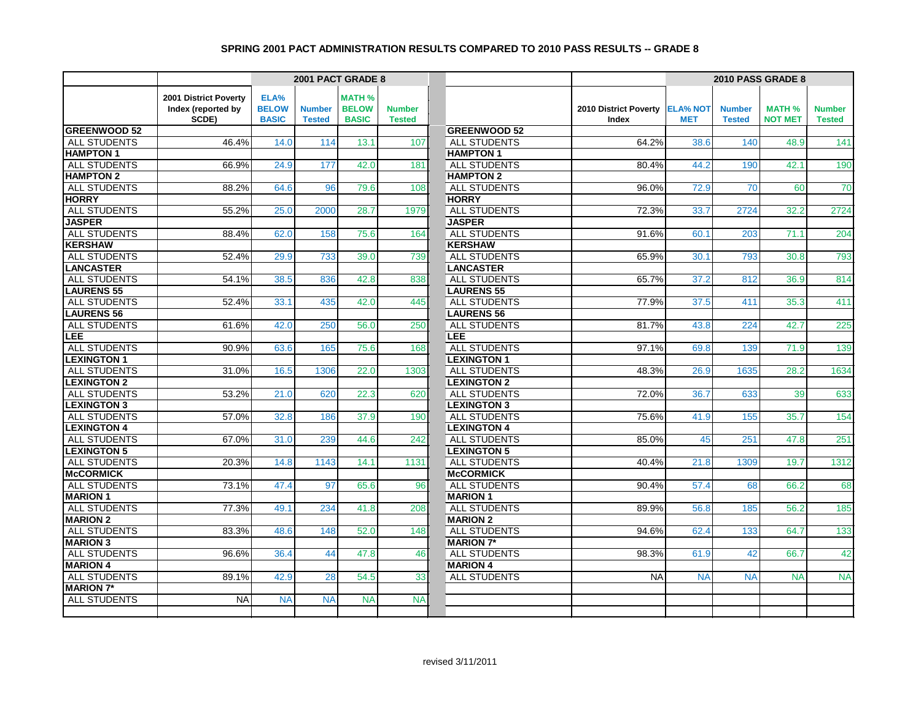|                                           |                       |              |               | 2001 PACT GRADE 8 |               |                                           |                       | 2010 PASS GRADE 8 |               |                |               |
|-------------------------------------------|-----------------------|--------------|---------------|-------------------|---------------|-------------------------------------------|-----------------------|-------------------|---------------|----------------|---------------|
|                                           | 2001 District Poverty | ELA%         |               | <b>MATH %</b>     |               |                                           |                       |                   |               |                |               |
|                                           | Index (reported by    | <b>BELOW</b> | <b>Number</b> | <b>BELOW</b>      | <b>Number</b> |                                           | 2010 District Poverty | <b>ELA% NOT</b>   | <b>Number</b> | <b>MATH %</b>  | <b>Number</b> |
|                                           | SCDE)                 | <b>BASIC</b> | <b>Tested</b> | <b>BASIC</b>      | <b>Tested</b> |                                           | Index                 | <b>MET</b>        | <b>Tested</b> | <b>NOT MET</b> | <b>Tested</b> |
| <b>GREENWOOD 52</b>                       |                       |              |               |                   |               | <b>GREENWOOD 52</b>                       |                       |                   |               |                |               |
| <b>ALL STUDENTS</b>                       | 46.4%                 | 14.0         | 114           | 13.1              | 107           | <b>ALL STUDENTS</b>                       | 64.2%                 | 38.6              | 140           | 48.9           | 141           |
| <b>HAMPTON1</b>                           |                       |              |               |                   |               | <b>HAMPTON1</b>                           |                       |                   |               |                |               |
| <b>ALL STUDENTS</b>                       | 66.9%                 | 24.9         | 177           | 42.0              | 181           | <b>ALL STUDENTS</b>                       | 80.4%                 | 44.2              | 190           | 42.1           | 190           |
| <b>HAMPTON 2</b>                          |                       |              |               |                   |               | <b>HAMPTON 2</b>                          |                       |                   |               |                |               |
| <b>ALL STUDENTS</b>                       | 88.2%                 | 64.6         | 96            | 79.6              | 108           | <b>ALL STUDENTS</b>                       | 96.0%                 | 72.9              | 70            | 60             | 70            |
| <b>HORRY</b>                              |                       |              |               |                   |               | <b>HORRY</b>                              |                       |                   |               |                |               |
| ALL STUDENTS                              | 55.2%                 | 25.0         | 2000          | 28.7              | 1979          | <b>ALL STUDENTS</b>                       | 72.3%                 | 33.7              | 2724          | 32.2           | 2724          |
| <b>JASPER</b>                             |                       |              |               |                   |               | <b>JASPER</b>                             |                       |                   |               |                |               |
| <b>ALL STUDENTS</b>                       | 88.4%                 | 62.0         | 158           | 75.6              | 164           | <b>ALL STUDENTS</b>                       | 91.6%                 | 60.1              | 203           | 71.1           | 204           |
| <b>KERSHAW</b>                            |                       |              |               |                   |               | <b>KERSHAW</b>                            |                       |                   |               |                |               |
| <b>ALL STUDENTS</b>                       | 52.4%                 | 29.9         | 733           | 39.0              | 739           | <b>ALL STUDENTS</b>                       | 65.9%                 | 30.1              | 793           | 30.8           | 793           |
| <b>LANCASTER</b>                          |                       |              |               |                   |               | <b>LANCASTER</b>                          |                       |                   |               |                |               |
| <b>ALL STUDENTS</b>                       | 54.1%                 | 38.5         | 836           | 42.8              | 838           | <b>ALL STUDENTS</b>                       | 65.7%                 | 37.2              | 812           | 36.9           | 814           |
| <b>LAURENS 55</b>                         |                       |              |               |                   |               | <b>LAURENS 55</b>                         |                       |                   |               |                |               |
| <b>ALL STUDENTS</b>                       | 52.4%                 | 33.1         | 435           | 42.0              | 445           | <b>ALL STUDENTS</b>                       | 77.9%                 | 37.5              | 411           | 35.3           | 411           |
| <b>LAURENS 56</b>                         |                       |              |               |                   |               | <b>LAURENS 56</b>                         |                       |                   |               |                |               |
| <b>ALL STUDENTS</b>                       | 61.6%                 | 42.0         | 250           | 56.0              | 250           | ALL STUDENTS                              | 81.7%                 | 43.8              | 224           | 42.7           | 225           |
| <b>LEE</b><br><b>ALL STUDENTS</b>         |                       |              | 165           |                   |               | LEE.<br><b>ALL STUDENTS</b>               |                       |                   |               | 71.9           | 139           |
|                                           | 90.9%                 | 63.6         |               | 75.6              | 168           |                                           | 97.1%                 | 69.8              | 139           |                |               |
| <b>LEXINGTON 1</b>                        |                       |              |               |                   |               | <b>LEXINGTON 1</b><br><b>ALL STUDENTS</b> |                       |                   |               |                |               |
| <b>ALL STUDENTS</b><br><b>LEXINGTON 2</b> | 31.0%                 | 16.5         | 1306          | 22.0              | 1303          | <b>LEXINGTON 2</b>                        | 48.3%                 | 26.9              | 1635          | 28.2           | 1634          |
| <b>ALL STUDENTS</b>                       | 53.2%                 | 21.0         | 620           | 22.3              | 620           | <b>ALL STUDENTS</b>                       | 72.0%                 | 36.7              | 633           | 39             | 633           |
| <b>LEXINGTON 3</b>                        |                       |              |               |                   |               | <b>LEXINGTON 3</b>                        |                       |                   |               |                |               |
| <b>ALL STUDENTS</b>                       | 57.0%                 | 32.8         | 186           | 37.9              | 190           | <b>ALL STUDENTS</b>                       | 75.6%                 | 41.9              | 155           | 35.7           | 154           |
| <b>LEXINGTON 4</b>                        |                       |              |               |                   |               | <b>LEXINGTON 4</b>                        |                       |                   |               |                |               |
| <b>ALL STUDENTS</b>                       | 67.0%                 | 31.0         | 239           | 44.6              | 242           | ALL STUDENTS                              | 85.0%                 | 45                | 251           | 47.8           | 251           |
| <b>LEXINGTON 5</b>                        |                       |              |               |                   |               | <b>LEXINGTON 5</b>                        |                       |                   |               |                |               |
| <b>ALL STUDENTS</b>                       | 20.3%                 | 14.8         | 1143          | 14.1              | 1131          | <b>ALL STUDENTS</b>                       | 40.4%                 | 21.8              | 1309          | 19.7           | 1312          |
| <b>McCORMICK</b>                          |                       |              |               |                   |               | <b>McCORMICK</b>                          |                       |                   |               |                |               |
| <b>ALL STUDENTS</b>                       | 73.1%                 | 47.4         | 97            | 65.6              | 96            | <b>ALL STUDENTS</b>                       | 90.4%                 | 57.4              | 68            | 66.2           | 68            |
| <b>MARION 1</b>                           |                       |              |               |                   |               | <b>MARION 1</b>                           |                       |                   |               |                |               |
| <b>ALL STUDENTS</b>                       | 77.3%                 | 49.1         | 234           | 41.8              | 208           | <b>ALL STUDENTS</b>                       | 89.9%                 | 56.8              | 185           | 56.2           | 185           |
| <b>MARION 2</b>                           |                       |              |               |                   |               | <b>MARION 2</b>                           |                       |                   |               |                |               |
| <b>ALL STUDENTS</b>                       | 83.3%                 | 48.6         | 148           | 52.0              | 148           | ALL STUDENTS                              | 94.6%                 | 62.4              | 133           | 64.7           | 133           |
| <b>MARION 3</b>                           |                       |              |               |                   |               | <b>MARION 7*</b>                          |                       |                   |               |                |               |
| <b>ALL STUDENTS</b>                       | 96.6%                 | 36.4         | 44            | 47.8              | 46            | ALL STUDENTS                              | 98.3%                 | 61.9              | 42            | 66.7           | 42            |
| <b>MARION 4</b>                           |                       |              |               |                   |               | <b>MARION 4</b>                           |                       |                   |               |                |               |
| <b>ALL STUDENTS</b>                       | 89.1%                 | 42.9         | 28            | 54.5              | 33            | <b>ALL STUDENTS</b>                       | <b>NA</b>             | <b>NA</b>         | <b>NA</b>     | <b>NA</b>      | <b>NA</b>     |
| <b>MARION 7*</b>                          |                       |              |               |                   |               |                                           |                       |                   |               |                |               |
| <b>ALL STUDENTS</b>                       | <b>NA</b>             | <b>NA</b>    | <b>NA</b>     | <b>NA</b>         | <b>NA</b>     |                                           |                       |                   |               |                |               |
|                                           |                       |              |               |                   |               |                                           |                       |                   |               |                |               |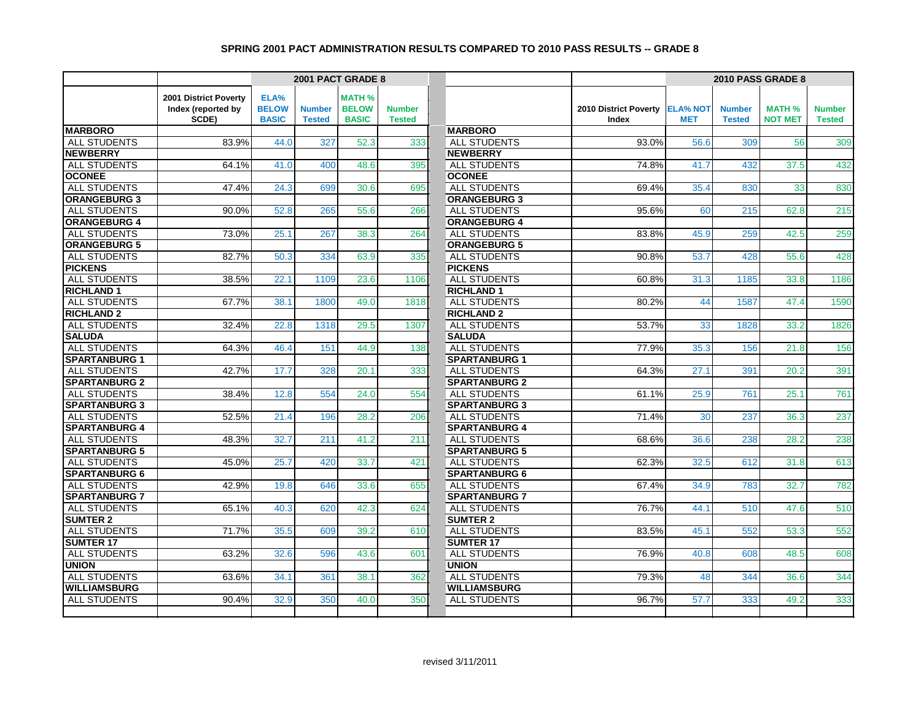|                      |                       |              | 2001 PACT GRADE 8 |               |               |                      |                       | 2010 PASS GRADE 8 |               |                |               |  |
|----------------------|-----------------------|--------------|-------------------|---------------|---------------|----------------------|-----------------------|-------------------|---------------|----------------|---------------|--|
|                      | 2001 District Poverty | ELA%         |                   | <b>MATH %</b> |               |                      |                       |                   |               |                |               |  |
|                      | Index (reported by    | <b>BELOW</b> | <b>Number</b>     | <b>BELOW</b>  | <b>Number</b> |                      | 2010 District Poverty | <b>ELA% NOT</b>   | <b>Number</b> | <b>MATH %</b>  | <b>Number</b> |  |
|                      | SCDE)                 | <b>BASIC</b> | <b>Tested</b>     | <b>BASIC</b>  | <b>Tested</b> |                      | Index                 | <b>MET</b>        | <b>Tested</b> | <b>NOT MET</b> | <b>Tested</b> |  |
| <b>MARBORO</b>       |                       |              |                   |               |               | <b>MARBORO</b>       |                       |                   |               |                |               |  |
| <b>ALL STUDENTS</b>  | 83.9%                 | 44.0         | 327               | 52.3          | 333           | ALL STUDENTS         | 93.0%                 | 56.6              | 309           | 56             | 309           |  |
| <b>NEWBERRY</b>      |                       |              |                   |               |               | <b>NEWBERRY</b>      |                       |                   |               |                |               |  |
| ALL STUDENTS         | 64.1%                 | 41.0         | 400               | 48.6          | 395           | <b>ALL STUDENTS</b>  | 74.8%                 | 41.7              | 432           | 37.5           | 432           |  |
| <b>OCONEE</b>        |                       |              |                   |               |               | <b>OCONEE</b>        |                       |                   |               |                |               |  |
| <b>ALL STUDENTS</b>  | 47.4%                 | 24.3         | 699               | 30.6          | 695           | <b>ALL STUDENTS</b>  | 69.4%                 | 35.4              | 830           | 33             | 830           |  |
| <b>ORANGEBURG 3</b>  |                       |              |                   |               |               | <b>ORANGEBURG 3</b>  |                       |                   |               |                |               |  |
| ALL STUDENTS         | 90.0%                 | 52.8         | 265               | 55.6          | 266           | <b>ALL STUDENTS</b>  | 95.6%                 | 60                | 215           | 62.8           | 215           |  |
| <b>ORANGEBURG 4</b>  |                       |              |                   |               |               | <b>ORANGEBURG 4</b>  |                       |                   |               |                |               |  |
| ALL STUDENTS         | 73.0%                 | 25.1         | 267               | 38.3          | 264           | ALL STUDENTS         | 83.8%                 | 45.9              | 259           | 42.5           | 259           |  |
| <b>ORANGEBURG 5</b>  |                       |              |                   |               |               | <b>ORANGEBURG 5</b>  |                       |                   |               |                |               |  |
| ALL STUDENTS         | 82.7%                 | 50.3         | 334               | 63.9          | 335           | <b>ALL STUDENTS</b>  | 90.8%                 | 53.7              | 428           | 55.6           | 428           |  |
| <b>PICKENS</b>       |                       |              |                   |               |               | <b>PICKENS</b>       |                       |                   |               |                |               |  |
| <b>ALL STUDENTS</b>  | 38.5%                 | 22.1         | 1109              | 23.6          | 1106          | <b>ALL STUDENTS</b>  | 60.8%                 | 31.3              | 1185          | 33.8           | 1186          |  |
| <b>RICHLAND1</b>     |                       |              |                   |               |               | <b>RICHLAND 1</b>    |                       |                   |               |                |               |  |
| <b>ALL STUDENTS</b>  | 67.7%                 | 38.1         | 1800              | 49.0          | 1818          | <b>ALL STUDENTS</b>  | 80.2%                 | 44                | 1587          | 47.4           | 1590          |  |
| <b>RICHLAND 2</b>    |                       |              |                   |               |               | <b>RICHLAND 2</b>    |                       |                   |               |                |               |  |
| <b>ALL STUDENTS</b>  | 32.4%                 | 22.8         | 1318              | 29.5          | 1307          | <b>ALL STUDENTS</b>  | 53.7%                 | 33                | 1828          | 33.2           | 1826          |  |
| <b>SALUDA</b>        |                       |              |                   |               |               | <b>SALUDA</b>        |                       |                   |               |                |               |  |
| <b>ALL STUDENTS</b>  | 64.3%                 | 46.4         | 151               | 44.9          | 138           | ALL STUDENTS         | 77.9%                 | 35.3              | 156           | 21.8           | 156           |  |
| <b>SPARTANBURG 1</b> |                       |              |                   |               |               | <b>SPARTANBURG 1</b> |                       |                   |               |                |               |  |
| <b>ALL STUDENTS</b>  | 42.7%                 | 17.7         | 328               | 20.1          | 333           | <b>ALL STUDENTS</b>  | 64.3%                 | 27.1              | 391           | 20.2           | 391           |  |
| <b>SPARTANBURG 2</b> |                       |              |                   |               |               | <b>SPARTANBURG 2</b> |                       |                   |               |                |               |  |
| ALL STUDENTS         | 38.4%                 | 12.8         | 554               | 24.0          | 554           | ALL STUDENTS         | 61.1%                 | 25.9              | 761           | 25.1           | 761           |  |
| <b>SPARTANBURG 3</b> |                       |              |                   |               |               | <b>SPARTANBURG 3</b> |                       |                   |               |                |               |  |
| <b>ALL STUDENTS</b>  | 52.5%                 | 21.4         | 196               | 28.2          | 206           | <b>ALL STUDENTS</b>  | 71.4%                 | 30                | 237           | 36.3           | 237           |  |
| <b>SPARTANBURG 4</b> |                       |              |                   |               |               | <b>SPARTANBURG 4</b> |                       |                   |               |                |               |  |
| ALL STUDENTS         | 48.3%                 | 32.7         | 211               | 41.2          | 211           | ALL STUDENTS         | 68.6%                 | 36.6              | 238           | 28.2           | 238           |  |
| <b>SPARTANBURG 5</b> |                       |              |                   |               |               | <b>SPARTANBURG 5</b> |                       |                   |               |                |               |  |
| <b>ALL STUDENTS</b>  | 45.0%                 | 25.7         | 420               | 33.7          | 421           | <b>ALL STUDENTS</b>  | 62.3%                 | 32.5              | 612           | 31.8           | 613           |  |
| <b>SPARTANBURG 6</b> |                       |              |                   |               |               | <b>SPARTANBURG 6</b> |                       |                   |               |                |               |  |
| <b>ALL STUDENTS</b>  | 42.9%                 | 19.8         | 646               | 33.6          | 655           | <b>ALL STUDENTS</b>  | 67.4%                 | 34.9              | 783           | 32.7           | 782           |  |
| <b>SPARTANBURG 7</b> |                       |              |                   |               |               | <b>SPARTANBURG 7</b> |                       |                   |               |                |               |  |
| <b>ALL STUDENTS</b>  | 65.1%                 | 40.3         | 620               | 42.3          | 624           | <b>ALL STUDENTS</b>  | 76.7%                 | 44.1              | 510           | 47.6           | 510           |  |
| <b>SUMTER 2</b>      |                       |              |                   |               |               | <b>SUMTER 2</b>      |                       |                   |               |                |               |  |
| ALL STUDENTS         | 71.7%                 | 35.5         | 609               | 39.2          | 610           | ALL STUDENTS         | 83.5%                 | 45.1              | 552           | 53.3           | 552           |  |
| <b>SUMTER 17</b>     |                       |              |                   |               |               | <b>SUMTER 17</b>     |                       |                   |               |                |               |  |
| <b>ALL STUDENTS</b>  | 63.2%                 | 32.6         | 596               | 43.6          | 601           | <b>ALL STUDENTS</b>  | 76.9%                 | 40.8              | 608           | 48.5           | 608           |  |
| <b>UNION</b>         |                       |              |                   |               |               | <b>UNION</b>         |                       |                   |               |                |               |  |
| ALL STUDENTS         | 63.6%                 | 34.1         | 361               | 38.1          | 362           | ALL STUDENTS         | 79.3%                 | 48                | 344           | 36.6           | 344           |  |
| <b>WILLIAMSBURG</b>  |                       |              |                   |               |               | <b>WILLIAMSBURG</b>  |                       |                   |               |                |               |  |
| ALL STUDENTS         | 90.4%                 | 32.9         | 350               | 40.0          | 350           | <b>ALL STUDENTS</b>  | 96.7%                 | 57.7              | 333           | 49.2           | 333           |  |
|                      |                       |              |                   |               |               |                      |                       |                   |               |                |               |  |